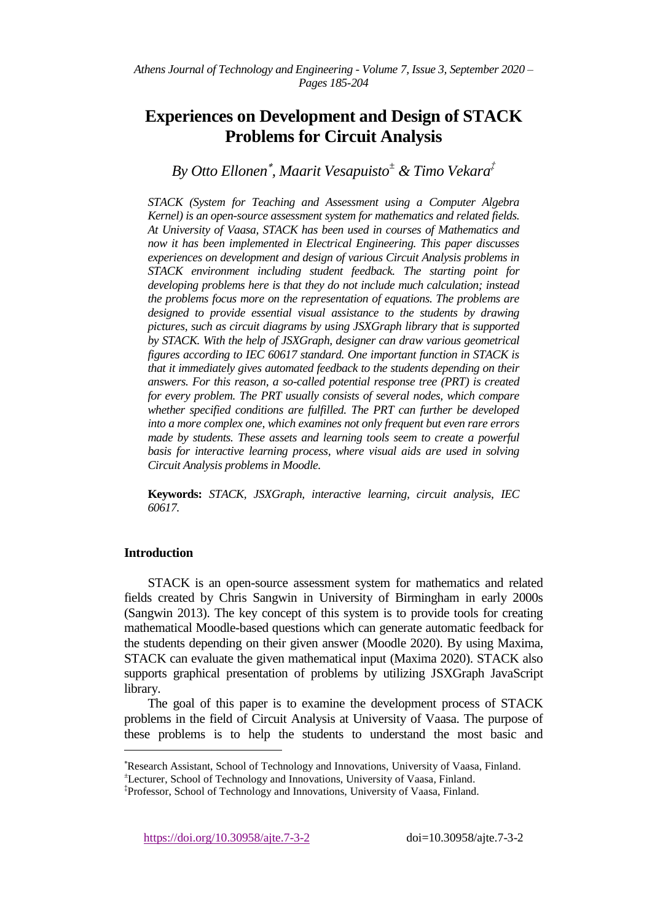# **Experiences on Development and Design of STACK Problems for Circuit Analysis**

*By Otto Ellonen , Maarit Vesapuisto<sup>±</sup> & Timo Vekara‡*

*STACK (System for Teaching and Assessment using a Computer Algebra Kernel) is an open-source assessment system for mathematics and related fields. At University of Vaasa, STACK has been used in courses of Mathematics and now it has been implemented in Electrical Engineering. This paper discusses experiences on development and design of various Circuit Analysis problems in STACK environment including student feedback. The starting point for developing problems here is that they do not include much calculation; instead the problems focus more on the representation of equations. The problems are*  designed to provide essential visual assistance to the students by drawing *pictures, such as circuit diagrams by using JSXGraph library that is supported by STACK. With the help of JSXGraph, designer can draw various geometrical figures according to IEC 60617 standard. One important function in STACK is that it immediately gives automated feedback to the students depending on their answers. For this reason, a so-called potential response tree (PRT) is created for every problem. The PRT usually consists of several nodes, which compare whether specified conditions are fulfilled. The PRT can further be developed into a more complex one, which examines not only frequent but even rare errors made by students. These assets and learning tools seem to create a powerful basis for interactive learning process, where visual aids are used in solving Circuit Analysis problems in Moodle.*

**Keywords:** *STACK, JSXGraph, interactive learning, circuit analysis, IEC 60617.*

## **Introduction**

 $\overline{a}$ 

STACK is an open-source assessment system for mathematics and related fields created by Chris Sangwin in University of Birmingham in early 2000s (Sangwin 2013). The key concept of this system is to provide tools for creating mathematical Moodle-based questions which can generate automatic feedback for the students depending on their given answer (Moodle 2020). By using Maxima, STACK can evaluate the given mathematical input (Maxima 2020). STACK also supports graphical presentation of problems by utilizing JSXGraph JavaScript library.

The goal of this paper is to examine the development process of STACK problems in the field of Circuit Analysis at University of Vaasa. The purpose of these problems is to help the students to understand the most basic and

Research Assistant, School of Technology and Innovations, University of Vaasa, Finland.

<sup>±</sup>Lecturer, School of Technology and Innovations, University of Vaasa, Finland.

<sup>‡</sup> Professor, School of Technology and Innovations, University of Vaasa, Finland.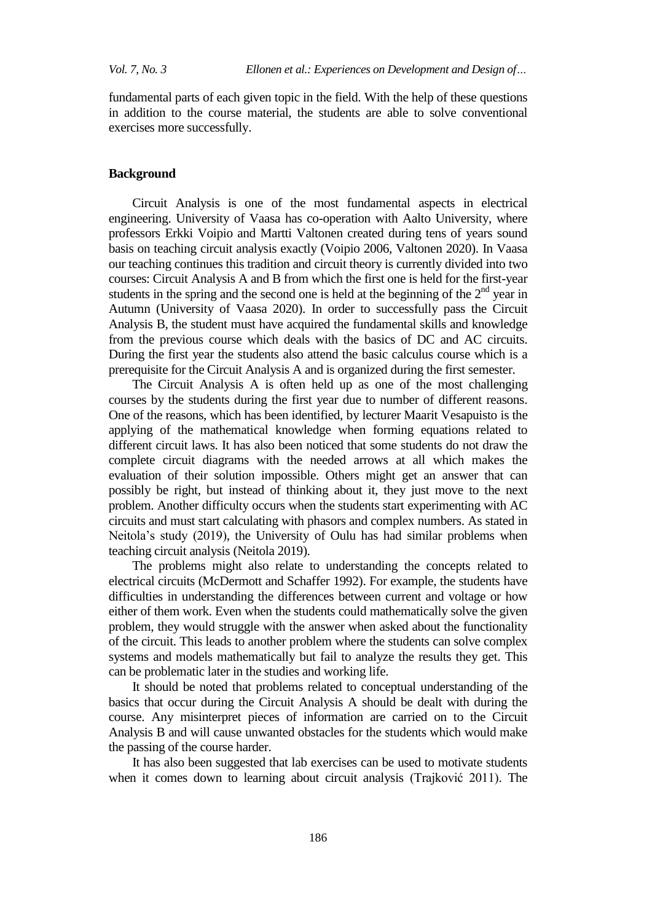fundamental parts of each given topic in the field. With the help of these questions in addition to the course material, the students are able to solve conventional exercises more successfully.

#### **Background**

Circuit Analysis is one of the most fundamental aspects in electrical engineering. University of Vaasa has co-operation with Aalto University, where professors Erkki Voipio and Martti Valtonen created during tens of years sound basis on teaching circuit analysis exactly (Voipio 2006, Valtonen 2020). In Vaasa our teaching continues this tradition and circuit theory is currently divided into two courses: Circuit Analysis A and B from which the first one is held for the first-year students in the spring and the second one is held at the beginning of the  $2<sup>nd</sup>$  year in Autumn (University of Vaasa 2020). In order to successfully pass the Circuit Analysis B, the student must have acquired the fundamental skills and knowledge from the previous course which deals with the basics of DC and AC circuits. During the first year the students also attend the basic calculus course which is a prerequisite for the Circuit Analysis A and is organized during the first semester.

The Circuit Analysis A is often held up as one of the most challenging courses by the students during the first year due to number of different reasons. One of the reasons, which has been identified, by lecturer Maarit Vesapuisto is the applying of the mathematical knowledge when forming equations related to different circuit laws. It has also been noticed that some students do not draw the complete circuit diagrams with the needed arrows at all which makes the evaluation of their solution impossible. Others might get an answer that can possibly be right, but instead of thinking about it, they just move to the next problem. Another difficulty occurs when the students start experimenting with AC circuits and must start calculating with phasors and complex numbers. As stated in Neitola's study (2019), the University of Oulu has had similar problems when teaching circuit analysis (Neitola 2019).

The problems might also relate to understanding the concepts related to electrical circuits (McDermott and Schaffer 1992). For example, the students have difficulties in understanding the differences between current and voltage or how either of them work. Even when the students could mathematically solve the given problem, they would struggle with the answer when asked about the functionality of the circuit. This leads to another problem where the students can solve complex systems and models mathematically but fail to analyze the results they get. This can be problematic later in the studies and working life.

It should be noted that problems related to conceptual understanding of the basics that occur during the Circuit Analysis A should be dealt with during the course. Any misinterpret pieces of information are carried on to the Circuit Analysis B and will cause unwanted obstacles for the students which would make the passing of the course harder.

It has also been suggested that lab exercises can be used to motivate students when it comes down to learning about circuit analysis (Trajković 2011). The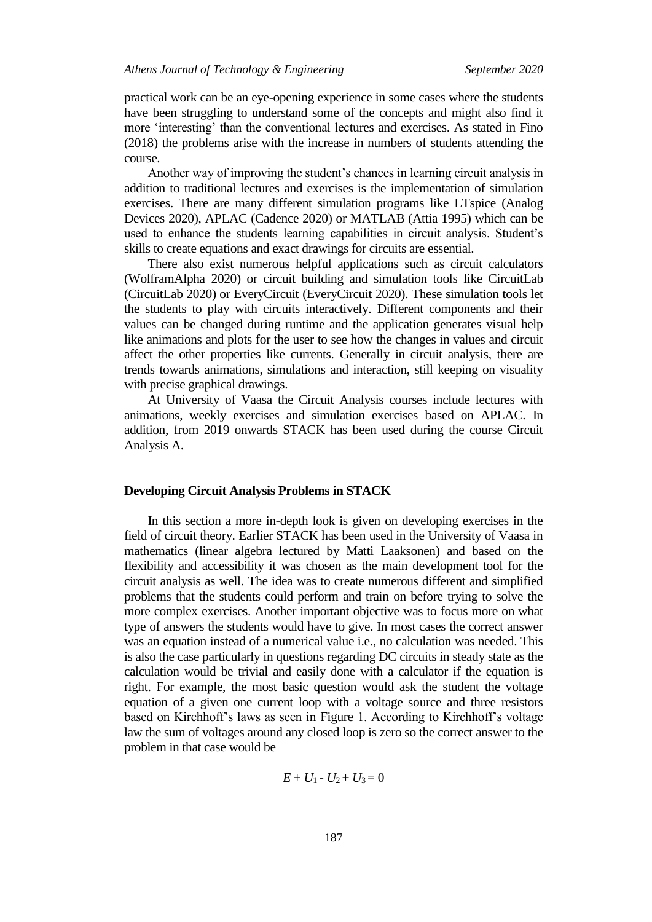practical work can be an eye-opening experience in some cases where the students have been struggling to understand some of the concepts and might also find it more 'interesting' than the conventional lectures and exercises. As stated in Fino (2018) the problems arise with the increase in numbers of students attending the course.

Another way of improving the student's chances in learning circuit analysis in addition to traditional lectures and exercises is the implementation of simulation exercises. There are many different simulation programs like LTspice (Analog Devices 2020), APLAC (Cadence 2020) or MATLAB (Attia 1995) which can be used to enhance the students learning capabilities in circuit analysis. Student's skills to create equations and exact drawings for circuits are essential.

There also exist numerous helpful applications such as circuit calculators (WolframAlpha 2020) or circuit building and simulation tools like CircuitLab (CircuitLab 2020) or EveryCircuit (EveryCircuit 2020). These simulation tools let the students to play with circuits interactively. Different components and their values can be changed during runtime and the application generates visual help like animations and plots for the user to see how the changes in values and circuit affect the other properties like currents. Generally in circuit analysis, there are trends towards animations, simulations and interaction, still keeping on visuality with precise graphical drawings.

At University of Vaasa the Circuit Analysis courses include lectures with animations, weekly exercises and simulation exercises based on APLAC. In addition, from 2019 onwards STACK has been used during the course Circuit Analysis A.

#### **Developing Circuit Analysis Problems in STACK**

In this section a more in-depth look is given on developing exercises in the field of circuit theory. Earlier STACK has been used in the University of Vaasa in mathematics (linear algebra lectured by Matti Laaksonen) and based on the flexibility and accessibility it was chosen as the main development tool for the circuit analysis as well. The idea was to create numerous different and simplified problems that the students could perform and train on before trying to solve the more complex exercises. Another important objective was to focus more on what type of answers the students would have to give. In most cases the correct answer was an equation instead of a numerical value i.e., no calculation was needed. This is also the case particularly in questions regarding DC circuits in steady state as the calculation would be trivial and easily done with a calculator if the equation is right. For example, the most basic question would ask the student the voltage equation of a given one current loop with a voltage source and three resistors based on Kirchhoff's laws as seen in Figure 1. According to Kirchhoff's voltage law the sum of voltages around any closed loop is zero so the correct answer to the problem in that case would be

$$
E + U_1 - U_2 + U_3 = 0
$$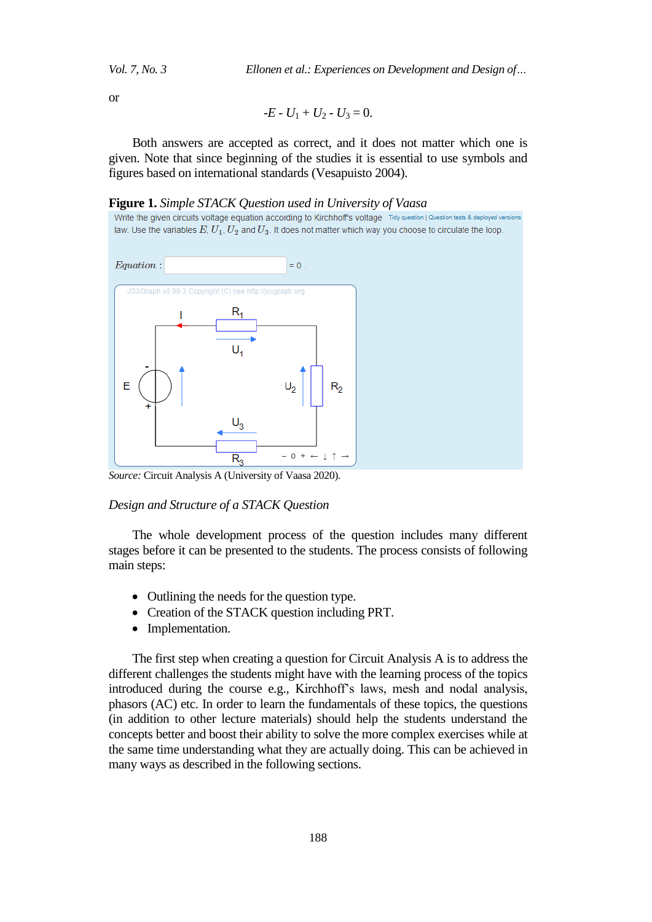*Vol. 7, No. 3 Ellonen et al.: Experiences on Development and Design of…*

or

$$
-E - U_1 + U_2 - U_3 = 0.
$$

Both answers are accepted as correct, and it does not matter which one is given. Note that since beginning of the studies it is essential to use symbols and figures based on international standards (Vesapuisto 2004).

#### **Figure 1.** *Simple STACK Question used in University of Vaasa*

Write the given circuits voltage equation according to Kirchhoff's voltage Tidy question | Question tests & deployed version law. Use the variables  $E, U_1, U_2$  and  $U_3$ . It does not matter which way you choose to circulate the loop



*Source:* Circuit Analysis A (University of Vaasa 2020).

#### *Design and Structure of a STACK Question*

The whole development process of the question includes many different stages before it can be presented to the students. The process consists of following main steps:

- Outlining the needs for the question type.
- Creation of the STACK question including PRT.
- Implementation.

The first step when creating a question for Circuit Analysis A is to address the different challenges the students might have with the learning process of the topics introduced during the course e.g., Kirchhoff's laws, mesh and nodal analysis, phasors (AC) etc. In order to learn the fundamentals of these topics, the questions (in addition to other lecture materials) should help the students understand the concepts better and boost their ability to solve the more complex exercises while at the same time understanding what they are actually doing. This can be achieved in many ways as described in the following sections.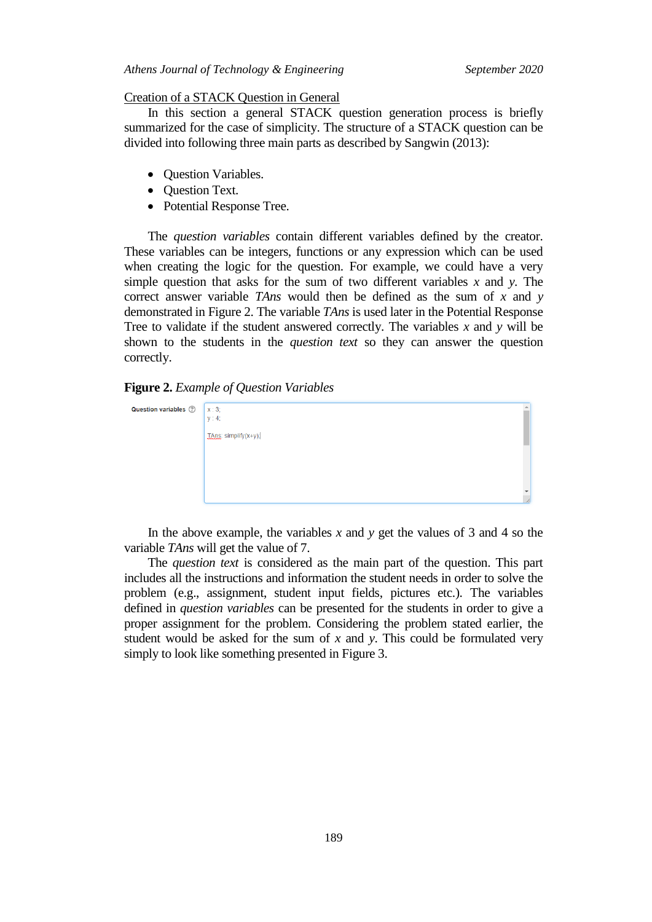#### *Athens Journal of Technology & Engineering September 2020*

#### Creation of a STACK Question in General

In this section a general STACK question generation process is briefly summarized for the case of simplicity. The structure of a STACK question can be divided into following three main parts as described by Sangwin (2013):

- Ouestion Variables.
- Question Text.
- Potential Response Tree.

The *question variables* contain different variables defined by the creator. These variables can be integers, functions or any expression which can be used when creating the logic for the question. For example, we could have a very simple question that asks for the sum of two different variables  $x$  and  $y$ . The correct answer variable *TAns* would then be defined as the sum of *x* and *y*  demonstrated in Figure 2. The variable *TAns* is used later in the Potential Response Tree to validate if the student answered correctly. The variables *x* and *y* will be shown to the students in the *question text* so they can answer the question correctly.

#### **Figure 2.** *Example of Question Variables*

| Question variables 2 | X:3;<br>y: 4;        |  |
|----------------------|----------------------|--|
|                      | LAns: simplify(x+y); |  |
|                      |                      |  |
|                      |                      |  |
|                      |                      |  |

In the above example, the variables *x* and *y* get the values of 3 and 4 so the variable *TAns* will get the value of 7.

The *question text* is considered as the main part of the question. This part includes all the instructions and information the student needs in order to solve the problem (e.g., assignment, student input fields, pictures etc.). The variables defined in *question variables* can be presented for the students in order to give a proper assignment for the problem. Considering the problem stated earlier, the student would be asked for the sum of *x* and *y*. This could be formulated very simply to look like something presented in Figure 3.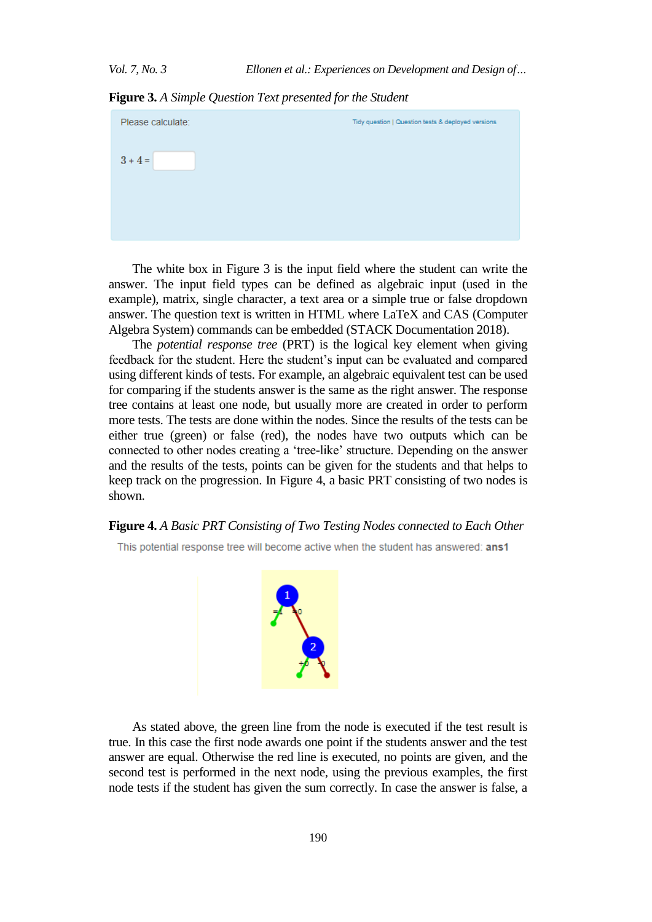**Figure 3.** *A Simple Question Text presented for the Student*

| Please calculate: | Tidy question   Question tests & deployed versions |
|-------------------|----------------------------------------------------|
| $3 + 4 =$         |                                                    |
|                   |                                                    |
|                   |                                                    |

The white box in Figure 3 is the input field where the student can write the answer. The input field types can be defined as algebraic input (used in the example), matrix, single character, a text area or a simple true or false dropdown answer. The question text is written in HTML where LaTeX and CAS (Computer Algebra System) commands can be embedded (STACK Documentation 2018).

The *potential response tree* (PRT) is the logical key element when giving feedback for the student. Here the student's input can be evaluated and compared using different kinds of tests. For example, an algebraic equivalent test can be used for comparing if the students answer is the same as the right answer. The response tree contains at least one node, but usually more are created in order to perform more tests. The tests are done within the nodes. Since the results of the tests can be either true (green) or false (red), the nodes have two outputs which can be connected to other nodes creating a 'tree-like' structure. Depending on the answer and the results of the tests, points can be given for the students and that helps to keep track on the progression. In Figure 4, a basic PRT consisting of two nodes is shown.

#### **Figure 4.** *A Basic PRT Consisting of Two Testing Nodes connected to Each Other*

This potential response tree will become active when the student has answered: ans1



As stated above, the green line from the node is executed if the test result is true. In this case the first node awards one point if the students answer and the test answer are equal. Otherwise the red line is executed, no points are given, and the second test is performed in the next node, using the previous examples, the first node tests if the student has given the sum correctly. In case the answer is false, a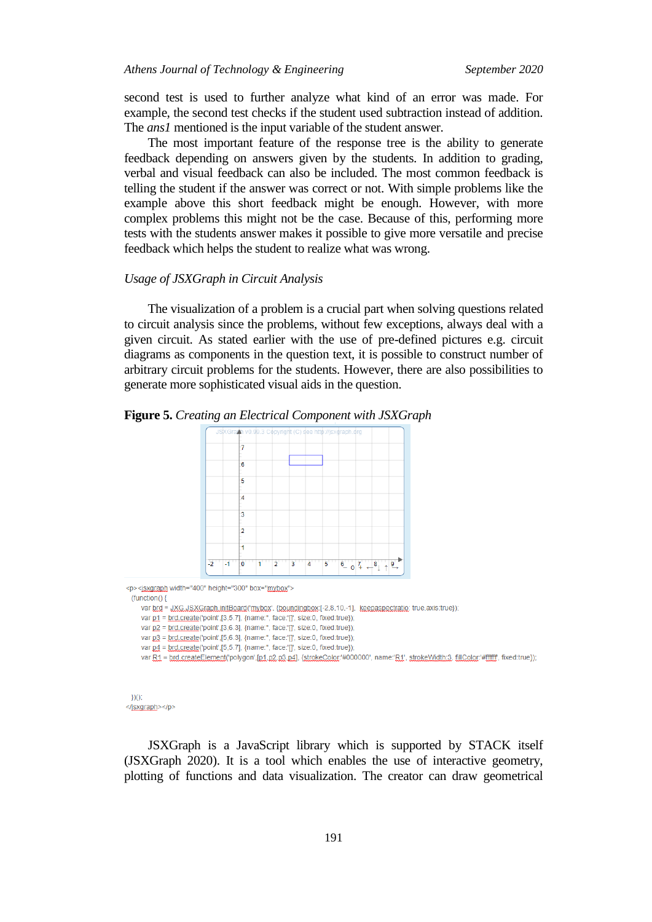second test is used to further analyze what kind of an error was made. For example, the second test checks if the student used subtraction instead of addition. The *ans1* mentioned is the input variable of the student answer.

The most important feature of the response tree is the ability to generate feedback depending on answers given by the students. In addition to grading, verbal and visual feedback can also be included. The most common feedback is telling the student if the answer was correct or not. With simple problems like the example above this short feedback might be enough. However, with more complex problems this might not be the case. Because of this, performing more tests with the students answer makes it possible to give more versatile and precise feedback which helps the student to realize what was wrong.

#### *Usage of JSXGraph in Circuit Analysis*

The visualization of a problem is a crucial part when solving questions related to circuit analysis since the problems, without few exceptions, always deal with a given circuit. As stated earlier with the use of pre-defined pictures e.g. circuit diagrams as components in the question text, it is possible to construct number of arbitrary circuit problems for the students. However, there are also possibilities to generate more sophisticated visual aids in the question.





<p><isxgraph width="400" height="300" box="mybox">

 $function()$ 

var brd = JXG.JSXGraph.initBoard('mybox', {boundingbox'[-2,8,10,-1], keepaspectratio: true,axis:true});

var p1 = brd.create('point',[3,5.7], {name:", face:'[]', size:0, fixed:true});

var p2 = brd.create('point',[3,6.3], {name:", face:'[]', size:0, fixed:true});

var  $p3 = brd.create('point', [5, 6.3], {name''}, face''[]', size: 0, fixed: true})$ ;

var p4 = brd.create('point',[5,5.7], {name:", face:'[]', size:0, fixed:true});

var R1 = brd.createElement('polygon',[p1,p2,p3,p4], {strokeColor:'#000000', name:'R1', strokeWidth:3, fillColor:'#ffffff', fixed:true});

JSXGraph is a JavaScript library which is supported by STACK itself (JSXGraph 2020). It is a tool which enables the use of interactive geometry, plotting of functions and data visualization. The creator can draw geometrical

 $300$ </jsxgraph></p>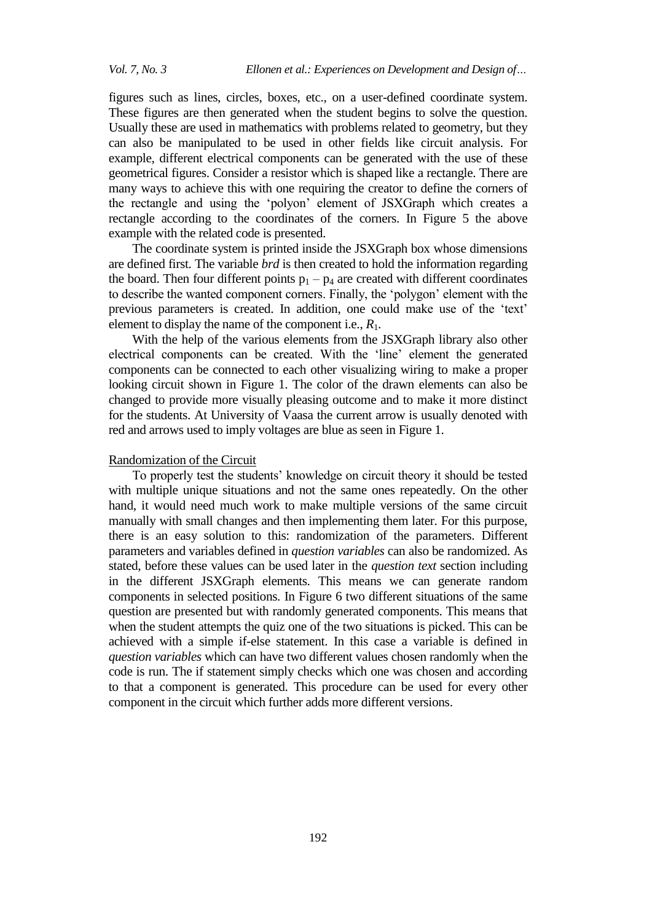figures such as lines, circles, boxes, etc., on a user-defined coordinate system. These figures are then generated when the student begins to solve the question. Usually these are used in mathematics with problems related to geometry, but they can also be manipulated to be used in other fields like circuit analysis. For example, different electrical components can be generated with the use of these geometrical figures. Consider a resistor which is shaped like a rectangle. There are many ways to achieve this with one requiring the creator to define the corners of the rectangle and using the 'polyon' element of JSXGraph which creates a rectangle according to the coordinates of the corners. In Figure 5 the above example with the related code is presented.

The coordinate system is printed inside the JSXGraph box whose dimensions are defined first. The variable *brd* is then created to hold the information regarding the board. Then four different points  $p_1 - p_4$  are created with different coordinates to describe the wanted component corners. Finally, the 'polygon' element with the previous parameters is created. In addition, one could make use of the 'text' element to display the name of the component i.e., *R*1.

With the help of the various elements from the JSXGraph library also other electrical components can be created. With the 'line' element the generated components can be connected to each other visualizing wiring to make a proper looking circuit shown in Figure 1. The color of the drawn elements can also be changed to provide more visually pleasing outcome and to make it more distinct for the students. At University of Vaasa the current arrow is usually denoted with red and arrows used to imply voltages are blue as seen in Figure 1.

#### Randomization of the Circuit

To properly test the students' knowledge on circuit theory it should be tested with multiple unique situations and not the same ones repeatedly. On the other hand, it would need much work to make multiple versions of the same circuit manually with small changes and then implementing them later. For this purpose, there is an easy solution to this: randomization of the parameters. Different parameters and variables defined in *question variables* can also be randomized. As stated, before these values can be used later in the *question text* section including in the different JSXGraph elements. This means we can generate random components in selected positions. In Figure 6 two different situations of the same question are presented but with randomly generated components. This means that when the student attempts the quiz one of the two situations is picked. This can be achieved with a simple if-else statement. In this case a variable is defined in *question variables* which can have two different values chosen randomly when the code is run. The if statement simply checks which one was chosen and according to that a component is generated. This procedure can be used for every other component in the circuit which further adds more different versions.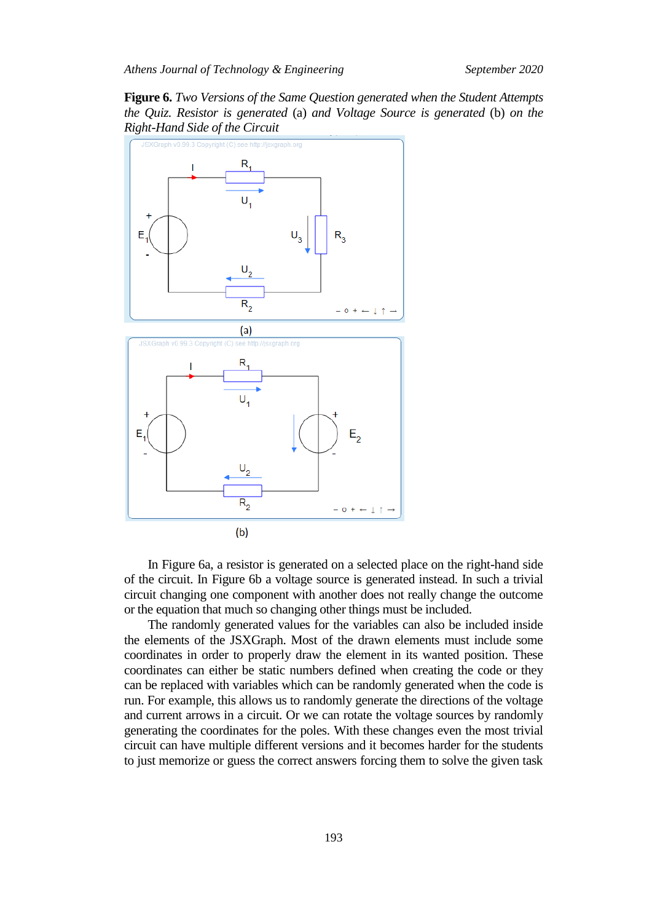**Figure 6.** *Two Versions of the Same Question generated when the Student Attempts the Quiz. Resistor is generated* (a) *and Voltage Source is generated* (b) *on the Right-Hand Side of the Circuit*



In Figure 6a, a resistor is generated on a selected place on the right-hand side of the circuit. In Figure 6b a voltage source is generated instead. In such a trivial circuit changing one component with another does not really change the outcome or the equation that much so changing other things must be included.

The randomly generated values for the variables can also be included inside the elements of the JSXGraph. Most of the drawn elements must include some coordinates in order to properly draw the element in its wanted position. These coordinates can either be static numbers defined when creating the code or they can be replaced with variables which can be randomly generated when the code is run. For example, this allows us to randomly generate the directions of the voltage and current arrows in a circuit. Or we can rotate the voltage sources by randomly generating the coordinates for the poles. With these changes even the most trivial circuit can have multiple different versions and it becomes harder for the students to just memorize or guess the correct answers forcing them to solve the given task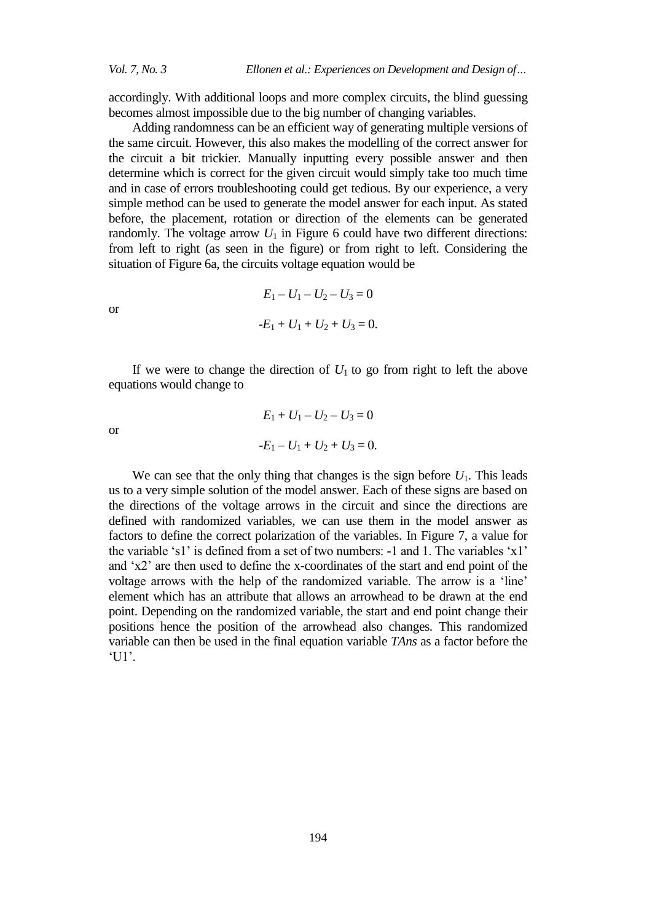accordingly. With additional loops and more complex circuits, the blind guessing becomes almost impossible due to the big number of changing variables.

Adding randomness can be an efficient way of generating multiple versions of the same circuit. However, this also makes the modelling of the correct answer for the circuit a bit trickier. Manually inputting every possible answer and then determine which is correct for the given circuit would simply take too much time and in case of errors troubleshooting could get tedious. By our experience, a very simple method can be used to generate the model answer for each input. As stated before, the placement, rotation or direction of the elements can be generated randomly. The voltage arrow  $U_1$  in Figure 6 could have two different directions: from left to right (as seen in the figure) or from right to left. Considering the situation of Figure 6a, the circuits voltage equation would be

or

$$
-E_1 + U_1 + U_2 + U_3 = 0.
$$

 $E_1 - U_1 - U_2 - U_3 = 0$ 

If we were to change the direction of  $U_1$  to go from right to left the above equations would change to

or

$$
E_1 + U_1 - U_2 - U_3 = 0
$$
  
-
$$
E_1 - U_1 + U_2 + U_3 = 0.
$$

We can see that the only thing that changes is the sign before  $U_1$ . This leads us to a very simple solution of the model answer. Each of these signs are based on the directions of the voltage arrows in the circuit and since the directions are defined with randomized variables, we can use them in the model answer as factors to define the correct polarization of the variables. In Figure 7, a value for the variable 's1' is defined from a set of two numbers: -1 and 1. The variables 'x1' and 'x2' are then used to define the x-coordinates of the start and end point of the voltage arrows with the help of the randomized variable. The arrow is a 'line' element which has an attribute that allows an arrowhead to be drawn at the end point. Depending on the randomized variable, the start and end point change their positions hence the position of the arrowhead also changes. This randomized variable can then be used in the final equation variable *TAns* as a factor before the 'U1'.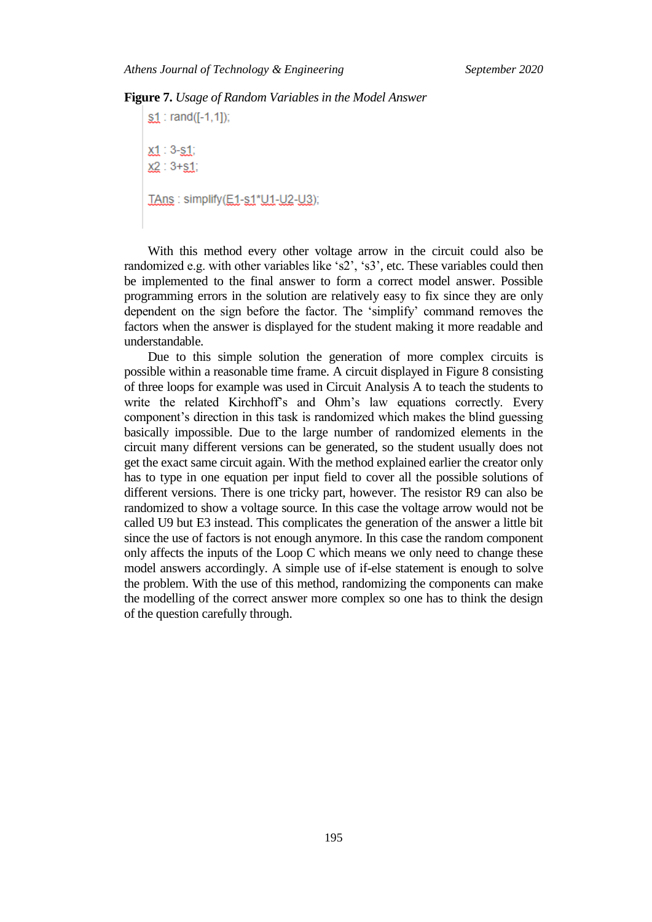#### **Figure 7.** *Usage of Random Variables in the Model Answer*

 $s1 : rand([-1,1])$ ;  $x1 : 3 - s1;$  $X2 : 3 + S1;$ TAns: simplify(E1-s1\*U1-U2-U3);

With this method every other voltage arrow in the circuit could also be randomized e.g. with other variables like 's2', 's3', etc. These variables could then be implemented to the final answer to form a correct model answer. Possible programming errors in the solution are relatively easy to fix since they are only dependent on the sign before the factor. The 'simplify' command removes the factors when the answer is displayed for the student making it more readable and understandable.

Due to this simple solution the generation of more complex circuits is possible within a reasonable time frame. A circuit displayed in Figure 8 consisting of three loops for example was used in Circuit Analysis A to teach the students to write the related Kirchhoff's and Ohm's law equations correctly. Every component's direction in this task is randomized which makes the blind guessing basically impossible. Due to the large number of randomized elements in the circuit many different versions can be generated, so the student usually does not get the exact same circuit again. With the method explained earlier the creator only has to type in one equation per input field to cover all the possible solutions of different versions. There is one tricky part, however. The resistor R9 can also be randomized to show a voltage source. In this case the voltage arrow would not be called U9 but E3 instead. This complicates the generation of the answer a little bit since the use of factors is not enough anymore. In this case the random component only affects the inputs of the Loop C which means we only need to change these model answers accordingly. A simple use of if-else statement is enough to solve the problem. With the use of this method, randomizing the components can make the modelling of the correct answer more complex so one has to think the design of the question carefully through.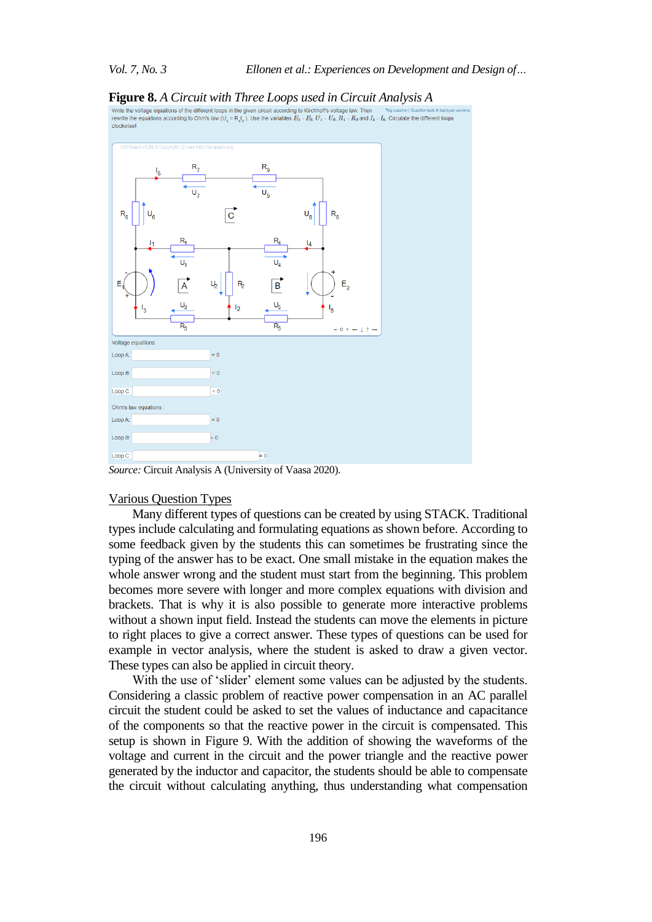

*Source:* Circuit Analysis A (University of Vaasa 2020).

### Various Question Types

Many different types of questions can be created by using STACK. Traditional types include calculating and formulating equations as shown before. According to some feedback given by the students this can sometimes be frustrating since the typing of the answer has to be exact. One small mistake in the equation makes the whole answer wrong and the student must start from the beginning. This problem becomes more severe with longer and more complex equations with division and brackets. That is why it is also possible to generate more interactive problems without a shown input field. Instead the students can move the elements in picture to right places to give a correct answer. These types of questions can be used for example in vector analysis, where the student is asked to draw a given vector. These types can also be applied in circuit theory.

With the use of 'slider' element some values can be adjusted by the students. Considering a classic problem of reactive power compensation in an AC parallel circuit the student could be asked to set the values of inductance and capacitance of the components so that the reactive power in the circuit is compensated. This setup is shown in Figure 9. With the addition of showing the waveforms of the voltage and current in the circuit and the power triangle and the reactive power generated by the inductor and capacitor, the students should be able to compensate the circuit without calculating anything, thus understanding what compensation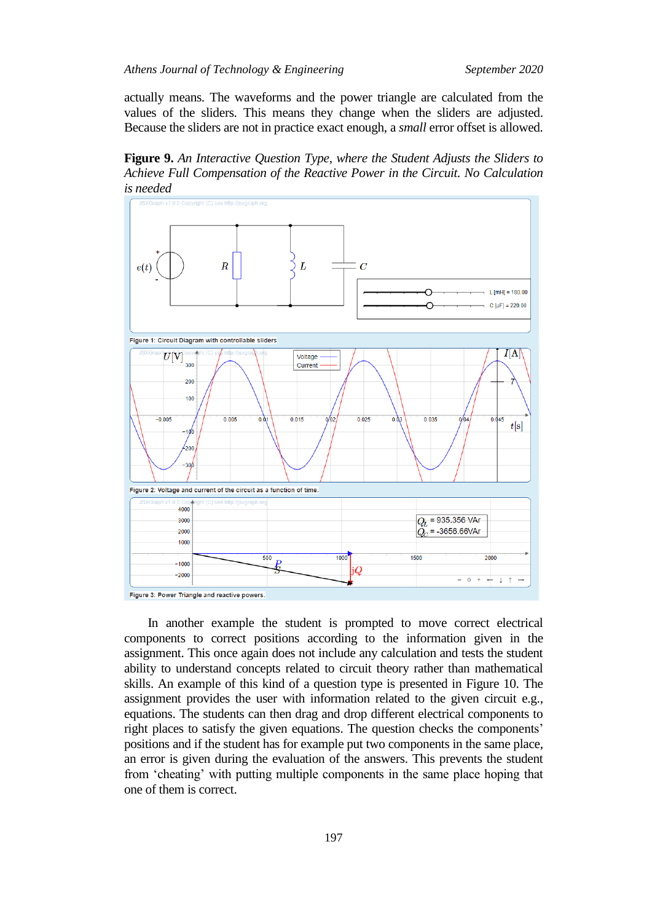actually means. The waveforms and the power triangle are calculated from the values of the sliders. This means they change when the sliders are adjusted. Because the sliders are not in practice exact enough, a *small* error offset is allowed.

**Figure 9.** *An Interactive Question Type, where the Student Adjusts the Sliders to Achieve Full Compensation of the Reactive Power in the Circuit. No Calculation is needed*



Figure 3: Power Triangle and reactive powers.

In another example the student is prompted to move correct electrical components to correct positions according to the information given in the assignment. This once again does not include any calculation and tests the student ability to understand concepts related to circuit theory rather than mathematical skills. An example of this kind of a question type is presented in Figure 10. The assignment provides the user with information related to the given circuit e.g., equations. The students can then drag and drop different electrical components to right places to satisfy the given equations. The question checks the components' positions and if the student has for example put two components in the same place, an error is given during the evaluation of the answers. This prevents the student from 'cheating' with putting multiple components in the same place hoping that one of them is correct.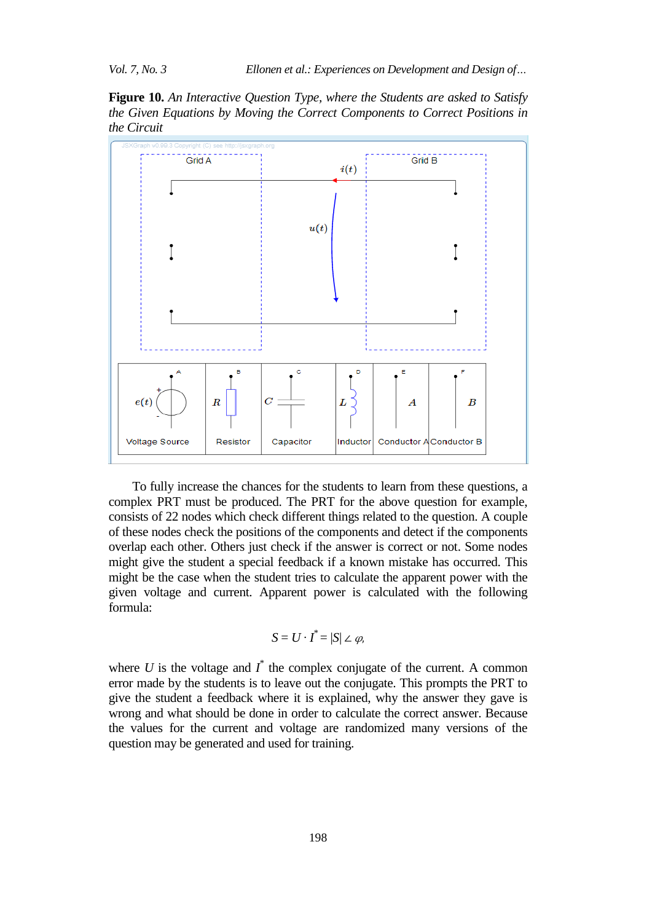**Figure 10.** *An Interactive Question Type, where the Students are asked to Satisfy the Given Equations by Moving the Correct Components to Correct Positions in the Circuit*



To fully increase the chances for the students to learn from these questions, a complex PRT must be produced. The PRT for the above question for example, consists of 22 nodes which check different things related to the question. A couple of these nodes check the positions of the components and detect if the components overlap each other. Others just check if the answer is correct or not. Some nodes might give the student a special feedback if a known mistake has occurred. This might be the case when the student tries to calculate the apparent power with the given voltage and current. Apparent power is calculated with the following formula:

$$
S=U\cdot I^*=|S|\angle\varphi,
$$

where  $U$  is the voltage and  $I^*$  the complex conjugate of the current. A common error made by the students is to leave out the conjugate. This prompts the PRT to give the student a feedback where it is explained, why the answer they gave is wrong and what should be done in order to calculate the correct answer. Because the values for the current and voltage are randomized many versions of the question may be generated and used for training.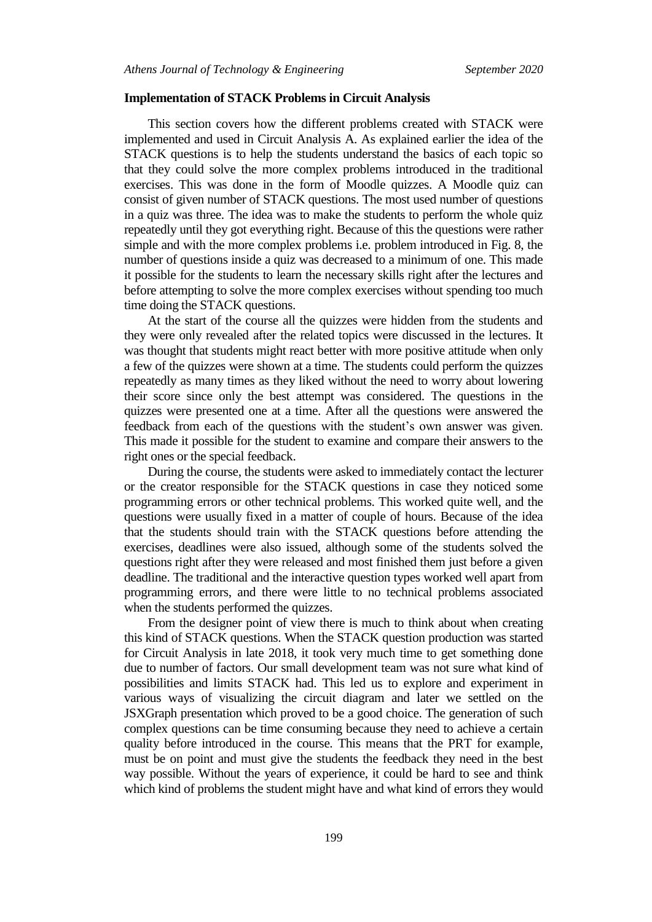#### **Implementation of STACK Problems in Circuit Analysis**

This section covers how the different problems created with STACK were implemented and used in Circuit Analysis A. As explained earlier the idea of the STACK questions is to help the students understand the basics of each topic so that they could solve the more complex problems introduced in the traditional exercises. This was done in the form of Moodle quizzes. A Moodle quiz can consist of given number of STACK questions. The most used number of questions in a quiz was three. The idea was to make the students to perform the whole quiz repeatedly until they got everything right. Because of this the questions were rather simple and with the more complex problems i.e. problem introduced in Fig. 8, the number of questions inside a quiz was decreased to a minimum of one. This made it possible for the students to learn the necessary skills right after the lectures and before attempting to solve the more complex exercises without spending too much time doing the STACK questions.

At the start of the course all the quizzes were hidden from the students and they were only revealed after the related topics were discussed in the lectures. It was thought that students might react better with more positive attitude when only a few of the quizzes were shown at a time. The students could perform the quizzes repeatedly as many times as they liked without the need to worry about lowering their score since only the best attempt was considered. The questions in the quizzes were presented one at a time. After all the questions were answered the feedback from each of the questions with the student's own answer was given. This made it possible for the student to examine and compare their answers to the right ones or the special feedback.

During the course, the students were asked to immediately contact the lecturer or the creator responsible for the STACK questions in case they noticed some programming errors or other technical problems. This worked quite well, and the questions were usually fixed in a matter of couple of hours. Because of the idea that the students should train with the STACK questions before attending the exercises, deadlines were also issued, although some of the students solved the questions right after they were released and most finished them just before a given deadline. The traditional and the interactive question types worked well apart from programming errors, and there were little to no technical problems associated when the students performed the quizzes.

From the designer point of view there is much to think about when creating this kind of STACK questions. When the STACK question production was started for Circuit Analysis in late 2018, it took very much time to get something done due to number of factors. Our small development team was not sure what kind of possibilities and limits STACK had. This led us to explore and experiment in various ways of visualizing the circuit diagram and later we settled on the JSXGraph presentation which proved to be a good choice. The generation of such complex questions can be time consuming because they need to achieve a certain quality before introduced in the course. This means that the PRT for example, must be on point and must give the students the feedback they need in the best way possible. Without the years of experience, it could be hard to see and think which kind of problems the student might have and what kind of errors they would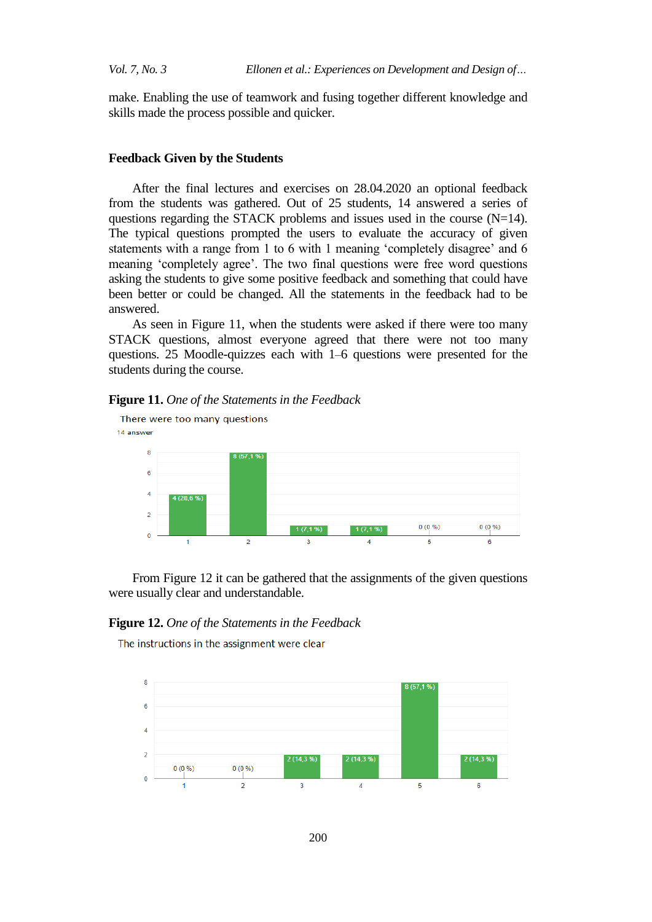make. Enabling the use of teamwork and fusing together different knowledge and skills made the process possible and quicker.

#### **Feedback Given by the Students**

After the final lectures and exercises on 28.04.2020 an optional feedback from the students was gathered. Out of 25 students, 14 answered a series of questions regarding the STACK problems and issues used in the course  $(N=14)$ . The typical questions prompted the users to evaluate the accuracy of given statements with a range from 1 to 6 with 1 meaning 'completely disagree' and 6 meaning 'completely agree'. The two final questions were free word questions asking the students to give some positive feedback and something that could have been better or could be changed. All the statements in the feedback had to be answered.

As seen in Figure 11, when the students were asked if there were too many STACK questions, almost everyone agreed that there were not too many questions. 25 Moodle-quizzes each with 1–6 questions were presented for the students during the course.

#### **Figure 11.** *One of the Statements in the Feedback*



From Figure 12 it can be gathered that the assignments of the given questions were usually clear and understandable.

#### **Figure 12.** *One of the Statements in the Feedback*

The instructions in the assignment were clear

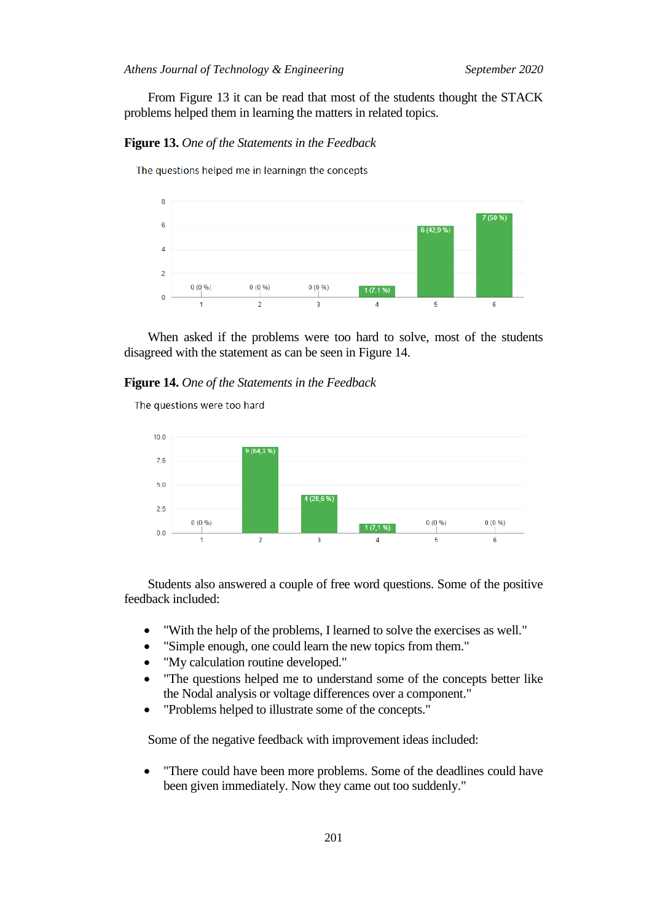From Figure 13 it can be read that most of the students thought the STACK problems helped them in learning the matters in related topics.

**Figure 13.** *One of the Statements in the Feedback*

The questions helped me in learningn the concepts



When asked if the problems were too hard to solve, most of the students disagreed with the statement as can be seen in Figure 14.

#### **Figure 14.** *One of the Statements in the Feedback*

The questions were too hard



Students also answered a couple of free word questions. Some of the positive feedback included:

- "With the help of the problems, I learned to solve the exercises as well."
- "Simple enough, one could learn the new topics from them."
- "My calculation routine developed."
- "The questions helped me to understand some of the concepts better like the Nodal analysis or voltage differences over a component."
- "Problems helped to illustrate some of the concepts."

Some of the negative feedback with improvement ideas included:

• "There could have been more problems. Some of the deadlines could have been given immediately. Now they came out too suddenly."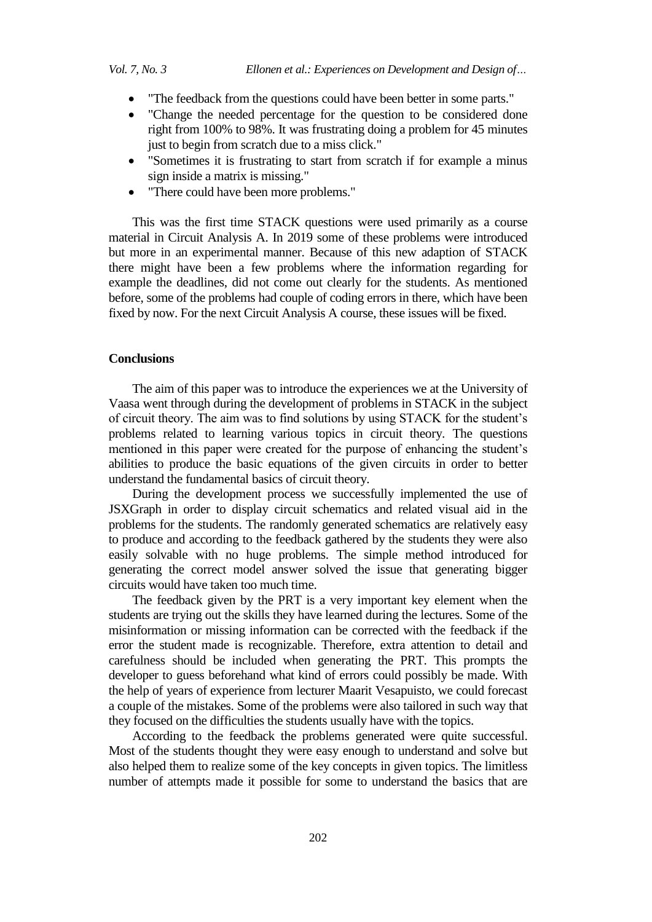- "The feedback from the questions could have been better in some parts."
- "Change the needed percentage for the question to be considered done right from 100% to 98%. It was frustrating doing a problem for 45 minutes just to begin from scratch due to a miss click."
- "Sometimes it is frustrating to start from scratch if for example a minus sign inside a matrix is missing."
- "There could have been more problems."

This was the first time STACK questions were used primarily as a course material in Circuit Analysis A. In 2019 some of these problems were introduced but more in an experimental manner. Because of this new adaption of STACK there might have been a few problems where the information regarding for example the deadlines, did not come out clearly for the students. As mentioned before, some of the problems had couple of coding errors in there, which have been fixed by now. For the next Circuit Analysis A course, these issues will be fixed.

#### **Conclusions**

The aim of this paper was to introduce the experiences we at the University of Vaasa went through during the development of problems in STACK in the subject of circuit theory. The aim was to find solutions by using STACK for the student's problems related to learning various topics in circuit theory. The questions mentioned in this paper were created for the purpose of enhancing the student's abilities to produce the basic equations of the given circuits in order to better understand the fundamental basics of circuit theory.

During the development process we successfully implemented the use of JSXGraph in order to display circuit schematics and related visual aid in the problems for the students. The randomly generated schematics are relatively easy to produce and according to the feedback gathered by the students they were also easily solvable with no huge problems. The simple method introduced for generating the correct model answer solved the issue that generating bigger circuits would have taken too much time.

The feedback given by the PRT is a very important key element when the students are trying out the skills they have learned during the lectures. Some of the misinformation or missing information can be corrected with the feedback if the error the student made is recognizable. Therefore, extra attention to detail and carefulness should be included when generating the PRT. This prompts the developer to guess beforehand what kind of errors could possibly be made. With the help of years of experience from lecturer Maarit Vesapuisto, we could forecast a couple of the mistakes. Some of the problems were also tailored in such way that they focused on the difficulties the students usually have with the topics.

According to the feedback the problems generated were quite successful. Most of the students thought they were easy enough to understand and solve but also helped them to realize some of the key concepts in given topics. The limitless number of attempts made it possible for some to understand the basics that are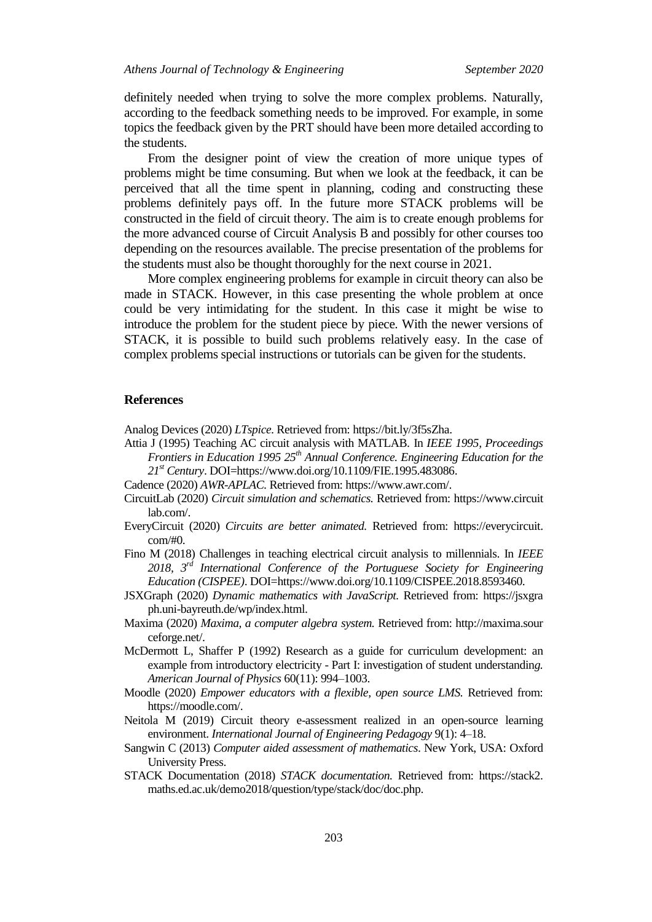definitely needed when trying to solve the more complex problems. Naturally, according to the feedback something needs to be improved. For example, in some topics the feedback given by the PRT should have been more detailed according to the students.

From the designer point of view the creation of more unique types of problems might be time consuming. But when we look at the feedback, it can be perceived that all the time spent in planning, coding and constructing these problems definitely pays off. In the future more STACK problems will be constructed in the field of circuit theory. The aim is to create enough problems for the more advanced course of Circuit Analysis B and possibly for other courses too depending on the resources available. The precise presentation of the problems for the students must also be thought thoroughly for the next course in 2021.

More complex engineering problems for example in circuit theory can also be made in STACK. However, in this case presenting the whole problem at once could be very intimidating for the student. In this case it might be wise to introduce the problem for the student piece by piece. With the newer versions of STACK, it is possible to build such problems relatively easy. In the case of complex problems special instructions or tutorials can be given for the students.

#### **References**

Analog Devices (2020) *LTspice.* Retrieved from: [https://bit.ly/3f5sZha.](https://bit.ly/3f5sZha)

- Attia J (1995) Teaching AC circuit analysis with MATLAB*.* In *IEEE 1995, Proceedings Frontiers in Education 1995 25th Annual Conference. Engineering Education for the 21st Century*. DOI=https://www.doi.org/10.1109/FIE.1995.483086.
- Cadence (2020) *AWR-APLAC.* Retrieved from: [https://www.awr.com/.](https://www.awr.com/)
- CircuitLab (2020) *Circuit simulation and schematics.* Retrieved from: https://www.circuit lab.com/.
- EveryCircuit (2020) *Circuits are better animated.* Retrieved from: https://everycircuit. com/#0.
- Fino M (2018) Challenges in teaching electrical circuit analysis to millennials. In *IEEE 2018, 3rd International Conference of the Portuguese Society for Engineering Education (CISPEE)*. DOI=https://www.doi.org/10.1109/CISPEE.2018.8593460.
- JSXGraph (2020) *Dynamic mathematics with JavaScript.* Retrieved from: https://jsxgra ph.uni-bayreuth.de/wp/index.html.
- Maxima (2020) *Maxima, a computer algebra system.* Retrieved from: http://maxima.sour ceforge.net/.
- McDermott L, Shaffer P (1992) Research as a guide for curriculum development: an example from introductory electricity - Part I: investigation of student understandin*g. American Journal of Physics* 60(11): 994–1003.
- Moodle (2020) *Empower educators with a flexible, open source LMS.* Retrieved from: [https://moodle.com/.](https://moodle.com/)
- Neitola M (2019) Circuit theory e-assessment realized in an open-source learning environment. *International Journal of Engineering Pedagogy* 9(1): 4–18.
- Sangwin C (2013) *Computer aided assessment of mathematics*. New York, USA: Oxford University Press.
- STACK Documentation (2018) *STACK documentation.* Retrieved from: https://stack2. maths.ed.ac.uk/demo2018/question/type/stack/doc/doc.php.